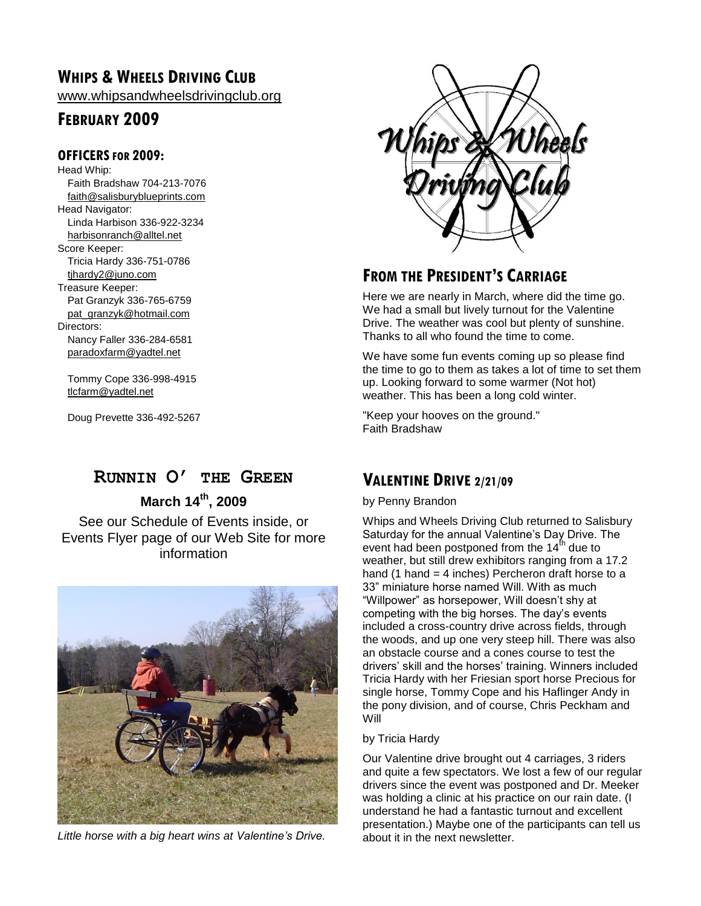## **WHIPS & WHEELS DRIVING CLUB**

[www.whipsandwheelsdrivingclub.org](http://www.whipsandwheelsdrivingclub.org/)

## **FEBRUARY 2009**

### **OFFICERSFOR 2009:**

Head Whip: Faith Bradshaw 704-213-7076 [faith@salisburyblueprints.com](mailto:faith@salisburyblueprints.com) Head Navigator: Linda Harbison 336-922-3234 [harbisonranch@alltel.net](mailto:harbisonranch@alltel.net) Score Keeper: Tricia Hardy 336-751-0786 [tjhardy2@juno.com](mailto:tjhardy2@juno.com) Treasure Keeper: Pat Granzyk 336-765-6759 [pat\\_granzyk@hotmail.com](mailto:pat_granzyk@hotmail.com) Directors: Nancy Faller 336-284-6581 [paradoxfarm@yadtel.net](mailto:paradoxfarm@yadtel.net)

Tommy Cope 336-998-4915 [tlcfarm@yadtel.net](mailto:tlcfarm@yadtel.net)

Doug Prevette 336-492-5267

## **RUNNIN O' THE GREEN**

**March 14th, 2009**

See our Schedule of Events inside, or Events Flyer page of our Web Site for more information



*Little horse with a big heart wins at Valentine's Drive.*



## **FROM THE PRESIDENT'S CARRIAGE**

Here we are nearly in March, where did the time go. We had a small but lively turnout for the Valentine Drive. The weather was cool but plenty of sunshine. Thanks to all who found the time to come.

We have some fun events coming up so please find the time to go to them as takes a lot of time to set them up. Looking forward to some warmer (Not hot) weather. This has been a long cold winter.

"Keep your hooves on the ground." Faith Bradshaw

## **VALENTINE DRIVE 2/21/09**

#### by Penny Brandon

Whips and Wheels Driving Club returned to Salisbury Saturday for the annual Valentine's Day Drive. The event had been postponed from the  $14<sup>th</sup>$  due to weather, but still drew exhibitors ranging from a 17.2 hand (1 hand = 4 inches) Percheron draft horse to a 33" miniature horse named Will. With as much "Willpower" as horsepower, Will doesn't shy at competing with the big horses. The day's events included a cross-country drive across fields, through the woods, and up one very steep hill. There was also an obstacle course and a cones course to test the drivers' skill and the horses' training. Winners included Tricia Hardy with her Friesian sport horse Precious for single horse, Tommy Cope and his Haflinger Andy in the pony division, and of course, Chris Peckham and Will

#### by Tricia Hardy

Our Valentine drive brought out 4 carriages, 3 riders and quite a few spectators. We lost a few of our regular drivers since the event was postponed and Dr. Meeker was holding a clinic at his practice on our rain date. (I understand he had a fantastic turnout and excellent presentation.) Maybe one of the participants can tell us about it in the next newsletter.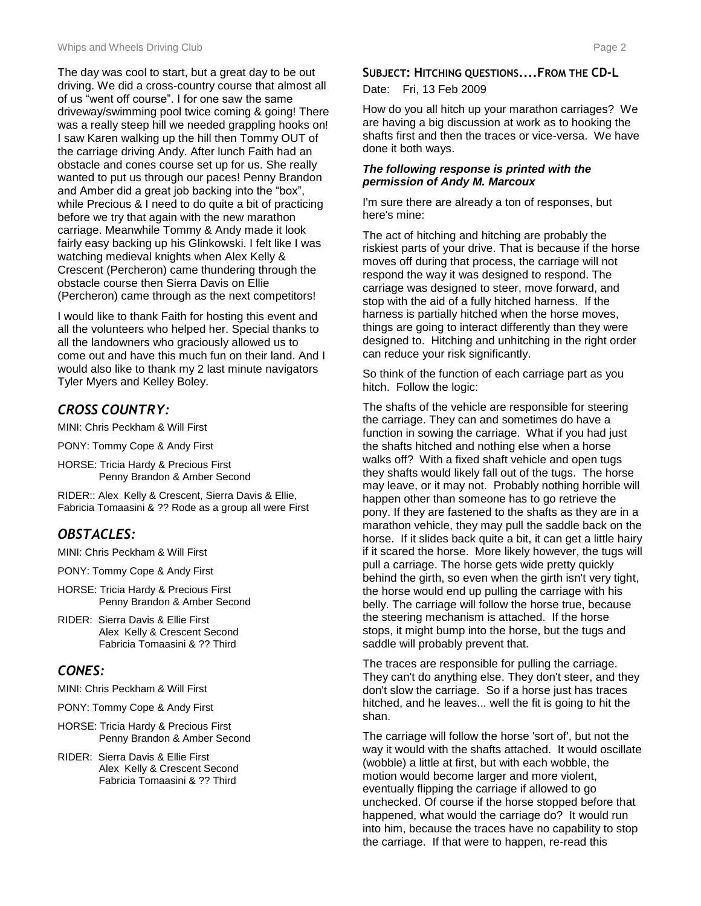The day was cool to start, but a great day to be out driving. We did a cross-country course that almost all of us "went off course". I for one saw the same driveway/swimming pool twice coming & going! There was a really steep hill we needed grappling hooks on! I saw Karen walking up the hill then Tommy OUT of the carriage driving Andy. After lunch Faith had an obstacle and cones course set up for us. She really wanted to put us through our paces! Penny Brandon and Amber did a great job backing into the "box", while Precious & I need to do quite a bit of practicing before we try that again with the new marathon carriage. Meanwhile Tommy & Andy made it look fairly easy backing up his Glinkowski. I felt like I was watching medieval knights when Alex Kelly & Crescent (Percheron) came thundering through the obstacle course then Sierra Davis on Ellie (Percheron) came through as the next competitors!

I would like to thank Faith for hosting this event and all the volunteers who helped her. Special thanks to all the landowners who graciously allowed us to come out and have this much fun on their land. And I would also like to thank my 2 last minute navigators Tyler Myers and Kelley Boley.

## *CROSS COUNTRY:*

MINI: Chris Peckham & Will First

PONY: Tommy Cope & Andy First

HORSE: Tricia Hardy & Precious First Penny Brandon & Amber Second

RIDER:: Alex Kelly & Crescent, Sierra Davis & Ellie, Fabricia Tomaasini & ?? Rode as a group all were First

## *OBSTACLES:*

MINI: Chris Peckham & Will First

PONY: Tommy Cope & Andy First

- HORSE: Tricia Hardy & Precious First Penny Brandon & Amber Second
- RIDER: Sierra Davis & Ellie First Alex Kelly & Crescent Second Fabricia Tomaasini & ?? Third

### *CONES:*

MINI: Chris Peckham & Will First

- PONY: Tommy Cope & Andy First
- HORSE: Tricia Hardy & Precious First Penny Brandon & Amber Second
- RIDER: Sierra Davis & Ellie First Alex Kelly & Crescent Second Fabricia Tomaasini & ?? Third

#### **SUBJECT: HITCHING QUESTIONS....FROM THE CD-L** Date: Fri, 13 Feb 2009

How do you all hitch up your marathon carriages? We are having a big discussion at work as to hooking the shafts first and then the traces or vice-versa. We have done it both ways.

#### *The following response is printed with the permission of Andy M. Marcoux*

I'm sure there are already a ton of responses, but here's mine:

The act of hitching and hitching are probably the riskiest parts of your drive. That is because if the horse moves off during that process, the carriage will not respond the way it was designed to respond. The carriage was designed to steer, move forward, and stop with the aid of a fully hitched harness. If the harness is partially hitched when the horse moves, things are going to interact differently than they were designed to. Hitching and unhitching in the right order can reduce your risk significantly.

So think of the function of each carriage part as you hitch. Follow the logic:

The shafts of the vehicle are responsible for steering the carriage. They can and sometimes do have a function in sowing the carriage. What if you had just the shafts hitched and nothing else when a horse walks off? With a fixed shaft vehicle and open tugs they shafts would likely fall out of the tugs. The horse may leave, or it may not. Probably nothing horrible will happen other than someone has to go retrieve the pony. If they are fastened to the shafts as they are in a marathon vehicle, they may pull the saddle back on the horse. If it slides back quite a bit, it can get a little hairy if it scared the horse. More likely however, the tugs will pull a carriage. The horse gets wide pretty quickly behind the girth, so even when the girth isn't very tight, the horse would end up pulling the carriage with his belly. The carriage will follow the horse true, because the steering mechanism is attached. If the horse stops, it might bump into the horse, but the tugs and saddle will probably prevent that.

The traces are responsible for pulling the carriage. They can't do anything else. They don't steer, and they don't slow the carriage. So if a horse just has traces hitched, and he leaves... well the fit is going to hit the shan.

The carriage will follow the horse 'sort of', but not the way it would with the shafts attached. It would oscillate (wobble) a little at first, but with each wobble, the motion would become larger and more violent, eventually flipping the carriage if allowed to go unchecked. Of course if the horse stopped before that happened, what would the carriage do? It would run into him, because the traces have no capability to stop the carriage. If that were to happen, re-read this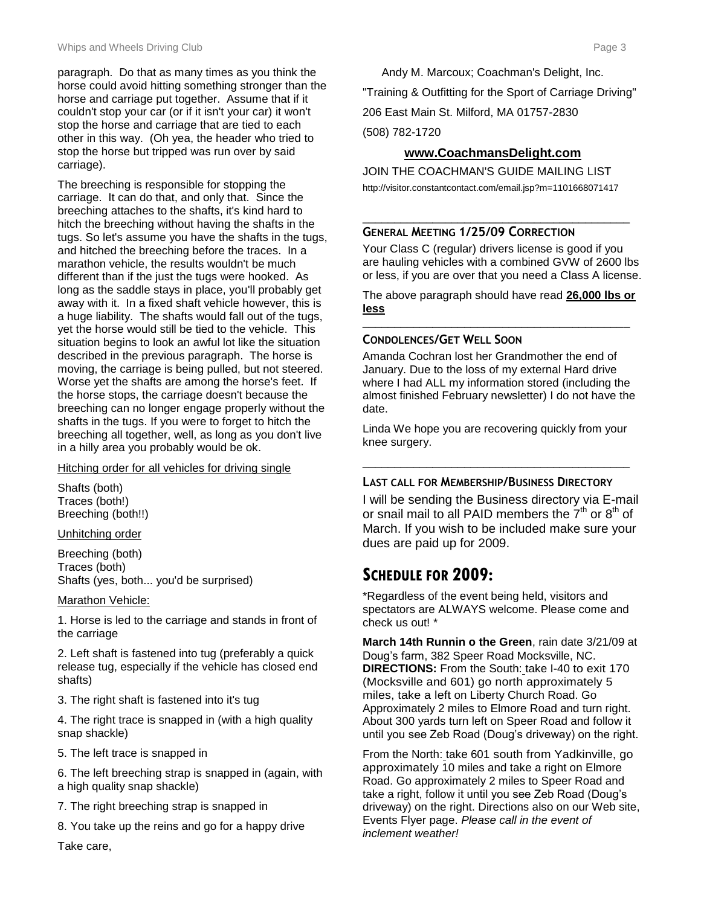paragraph. Do that as many times as you think the horse could avoid hitting something stronger than the horse and carriage put together. Assume that if it couldn't stop your car (or if it isn't your car) it won't stop the horse and carriage that are tied to each other in this way. (Oh yea, the header who tried to stop the horse but tripped was run over by said carriage).

The breeching is responsible for stopping the carriage. It can do that, and only that. Since the breeching attaches to the shafts, it's kind hard to hitch the breeching without having the shafts in the tugs. So let's assume you have the shafts in the tugs, and hitched the breeching before the traces. In a marathon vehicle, the results wouldn't be much different than if the just the tugs were hooked. As long as the saddle stays in place, you'll probably get away with it. In a fixed shaft vehicle however, this is a huge liability. The shafts would fall out of the tugs, yet the horse would still be tied to the vehicle. This situation begins to look an awful lot like the situation described in the previous paragraph. The horse is moving, the carriage is being pulled, but not steered. Worse yet the shafts are among the horse's feet. If the horse stops, the carriage doesn't because the breeching can no longer engage properly without the shafts in the tugs. If you were to forget to hitch the breeching all together, well, as long as you don't live in a hilly area you probably would be ok.

#### Hitching order for all vehicles for driving single

Shafts (both) Traces (both!) Breeching (both!!)

Unhitching order

Breeching (both) Traces (both) Shafts (yes, both... you'd be surprised)

#### Marathon Vehicle:

1. Horse is led to the carriage and stands in front of the carriage

2. Left shaft is fastened into tug (preferably a quick release tug, especially if the vehicle has closed end shafts)

3. The right shaft is fastened into it's tug

4. The right trace is snapped in (with a high quality snap shackle)

5. The left trace is snapped in

6. The left breeching strap is snapped in (again, with a high quality snap shackle)

7. The right breeching strap is snapped in

8. You take up the reins and go for a happy drive

Take care,

Andy M. Marcoux; Coachman's Delight, Inc.

"Training & Outfitting for the Sport of Carriage Driving"

206 East Main St. Milford, MA 01757-2830

(508) 782-1720

### **www.CoachmansDelight.com**

JOIN THE COACHMAN'S GUIDE MAILING LIST http://visitor.constantcontact.com/email.jsp?m=1101668071417

#### \_\_\_\_\_\_\_\_\_\_\_\_\_\_\_\_\_\_\_\_\_\_\_\_\_\_\_\_\_\_\_\_\_\_\_\_\_\_\_\_\_\_ **GENERAL MEETING 1/25/09 CORRECTION**

Your Class C (regular) drivers license is good if you are hauling vehicles with a combined GVW of 2600 lbs or less, if you are over that you need a Class A license.

The above paragraph should have read **26,000 lbs or less** \_\_\_\_\_\_\_\_\_\_\_\_\_\_\_\_\_\_\_\_\_\_\_\_\_\_\_\_\_\_\_\_\_\_\_\_\_\_\_\_\_\_

### **CONDOLENCES/GET WELL SOON**

Amanda Cochran lost her Grandmother the end of January. Due to the loss of my external Hard drive where I had ALL my information stored (including the almost finished February newsletter) I do not have the date.

Linda We hope you are recovering quickly from your knee surgery.

\_\_\_\_\_\_\_\_\_\_\_\_\_\_\_\_\_\_\_\_\_\_\_\_\_\_\_\_\_\_\_\_\_\_\_\_\_\_\_\_\_\_

### **LAST CALL FOR MEMBERSHIP/BUSINESS DIRECTORY**

I will be sending the Business directory via E-mail or snail mail to all PAID members the  $7<sup>th</sup>$  or  $8<sup>th</sup>$  of March. If you wish to be included make sure your dues are paid up for 2009.

## **SCHEDULE FOR 2009:**

\*Regardless of the event being held, visitors and spectators are ALWAYS welcome. Please come and check us out! \*

**March 14th Runnin o the Green**, rain date 3/21/09 at Doug's farm, 382 Speer Road Mocksville, NC. **DIRECTIONS:** From the South: take I-40 to exit 170 (Mocksville and 601) go north approximately 5 miles, take a left on Liberty Church Road. Go Approximately 2 miles to Elmore Road and turn right. About 300 yards turn left on Speer Road and follow it until you see Zeb Road (Doug's driveway) on the right.

From the North: take 601 south from Yadkinville, go approximately 10 miles and take a right on Elmore Road. Go approximately 2 miles to Speer Road and take a right, follow it until you see Zeb Road (Doug's driveway) on the right. Directions also on our Web site, Events Flyer page. *Please call in the event of inclement weather!*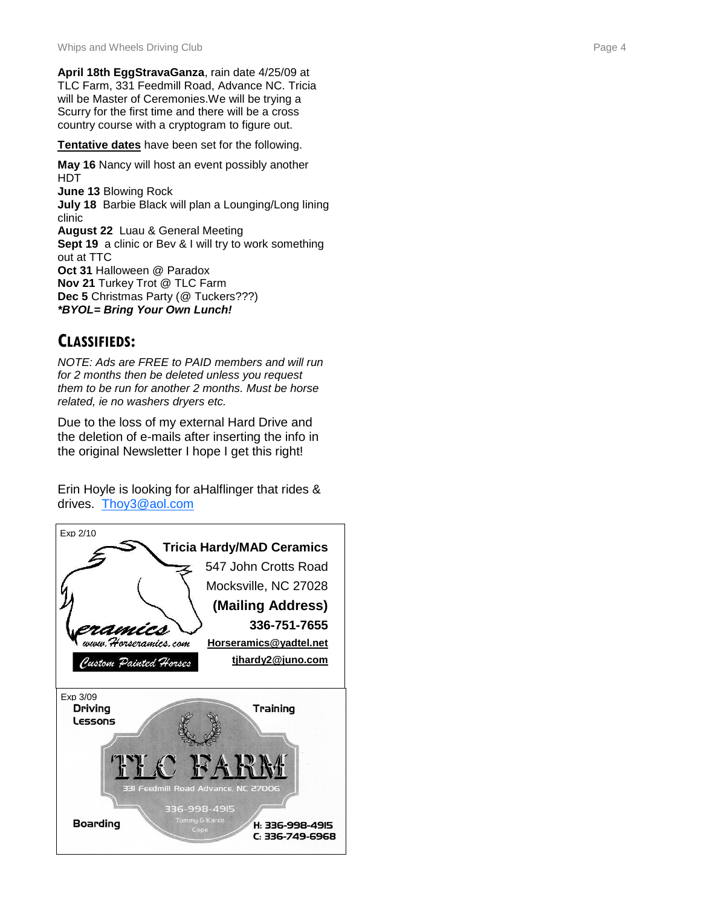**April 18th EggStravaGanza**, rain date 4/25/09 at TLC Farm, 331 Feedmill Road, Advance NC. Tricia will be Master of Ceremonies.We will be trying a Scurry for the first time and there will be a cross country course with a cryptogram to figure out.

**Tentative dates** have been set for the following.

**May 16** Nancy will host an event possibly another HDT **June 13** Blowing Rock **July 18** Barbie Black will plan a Lounging/Long lining clinic **August 22** Luau & General Meeting **Sept 19** a clinic or Bev & I will try to work something out at TTC **Oct 31** Halloween @ Paradox **Nov 21** Turkey Trot @ TLC Farm **Dec 5** Christmas Party (@ Tuckers???) *\*BYOL= Bring Your Own Lunch!* 

## **CLASSIFIEDS:**

*NOTE: Ads are FREE to PAID members and will run for 2 months then be deleted unless you request them to be run for another 2 months. Must be horse related, ie no washers dryers etc.*

Due to the loss of my external Hard Drive and the deletion of e -mails after inserting the info in the original Newsletter I hope I get this right!

Erin Hoyle is looking for aHalflinger that rides & drives. [Thoy3@aol.com](mailto:Thoy3@aol.com)